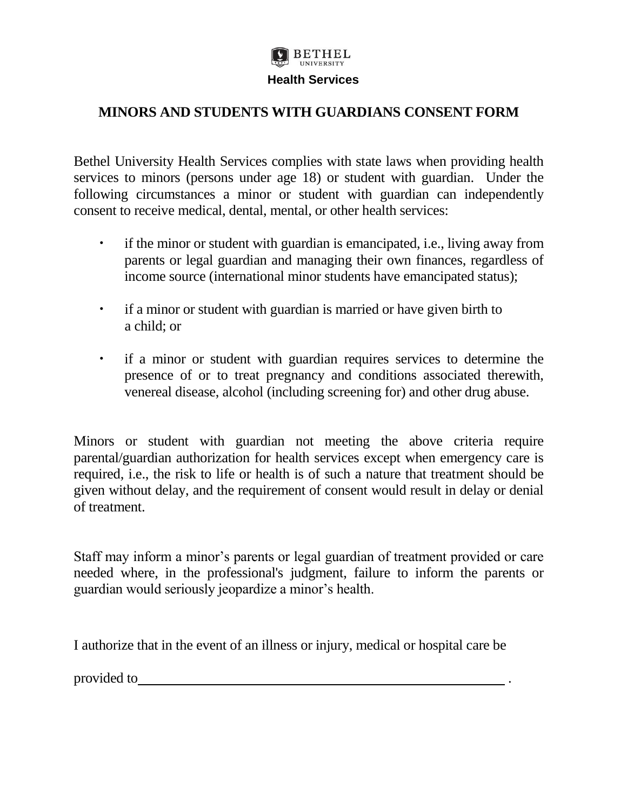

## **MINORS AND STUDENTS WITH GUARDIANS CONSENT FORM**

Bethel University Health Services complies with state laws when providing health services to minors (persons under age 18) or student with guardian. Under the following circumstances a minor or student with guardian can independently consent to receive medical, dental, mental, or other health services:

- if the minor or student with guardian is emancipated, i.e., living away from parents or legal guardian and managing their own finances, regardless of income source (international minor students have emancipated status);
- if a minor or student with guardian is married or have given birth to a child; or
- if a minor or student with guardian requires services to determine the presence of or to treat pregnancy and conditions associated therewith, venereal disease, alcohol (including screening for) and other drug abuse.

Minors or student with guardian not meeting the above criteria require parental/guardian authorization for health services except when emergency care is required, i.e., the risk to life or health is of such a nature that treatment should be given without delay, and the requirement of consent would result in delay or denial of treatment.

Staff may inform a minor's parents or legal guardian of treatment provided or care needed where, in the professional's judgment, failure to inform the parents or guardian would seriously jeopardize a minor's health.

I authorize that in the event of an illness or injury, medical or hospital care be

provided to .